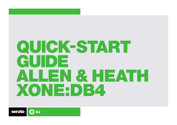# QUICK-START GUIDE ALLEN & HEATH XONEDB4

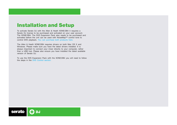## Installation and Setup

To activate Serato DJ with the Allen & Heath XONE:DB4 it requires a Serato DJ license to be purchased and activated on your user account. The XONE:DB4: The DVS Expansion Pack also needs to be purchased and activated before the unit can be used with NoiseMap™ control tone to control DVS playback. [You can purchase both products here.](http://store.serato.com/us/software/)

The Allen & Heath XONE:DB4 requires drivers on both Mac OS X and Windows. Please make sure you have the latest drivers installed. It is always important to connect your mixer directly to your computer, rather than a USB hub. Please also ensure you have installed the latest available version of Serato DJ.

To use the DVS Expansion Pack with the XONE:DB4 you will need to follow the steps in the [DVS Control section.](#page-4-0)

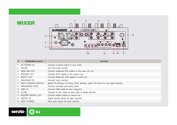

| # | <b>XONE:DB4 Control</b> | <b>Function</b>                                                                      |  |
|---|-------------------------|--------------------------------------------------------------------------------------|--|
|   | 1 AC POWER IN           | Connect a power cable to your mixer                                                  |  |
|   | 2 ON/OFF                | Turn the mixer On/Off                                                                |  |
|   | 3 MAIN MIX OUT          | Connect balanced XLR cables to the main mix out                                      |  |
|   | 4 RECORD OUT            | Connect RCA cables to the record out                                                 |  |
|   | 5 BOOTH OUT             | Connect Balanced TRS cables to booth out                                             |  |
|   | 6 ANALOGUE IN           | Connect input sources                                                                |  |
|   | 7 INPUT SOURCE SWITCH   | Select PH (Phono) for Phono input devices, select LN (Line) for Line input devices,. |  |
|   | 8 GROUNDING POST        | Connect turntable grounding wires                                                    |  |
|   | 9 USB 2.0               | Connect USB cable to your computer                                                   |  |
|   | 10 X-LINK               | Connect X-Link cable to other Allen & Heath devices                                  |  |
|   | 11 RECORD DIGITAL OUT   | Connect digital cables to record out                                                 |  |
|   | 12 DIGITAL IN           | Digital device inputs for each channel                                               |  |
|   | 13 DECK STARTS          | Deck start inputs for each channel                                                   |  |



MIXER

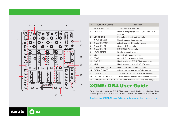

**C.D** 

**DJ** 

serato

| #              | <b>XONE:DB4 Control</b>  | <b>Function</b>                                    |
|----------------|--------------------------|----------------------------------------------------|
| 1              | <b>FILTER SECTION</b>    | XONE:DB4 filter controls.                          |
| 2              | <b>MIDI SHIFT</b>        | Used in conjunction with XONE:DB4 MIDI<br>controls |
| 3              | MIC SECTION              | Microphone input and controls                      |
| 4              | <b>INPUT SELECT</b>      | Select channel input source                        |
| 5              | <b>CHANNEL TRIM</b>      | Adjust channel trim/gain volume                    |
| 6              | <b>CHANNEL EQ</b>        | Channel EQ controls                                |
| $\overline{7}$ | CHANNEL FX               | XONE:DB4 FX controls                               |
| 8              | <b>LEVEL METER</b>       | Displays output volume                             |
| 9              | <b>MIX</b>               | Control Mix output volume                          |
| 10             | <b>BOOTH</b>             | Control Booth output volume                        |
| 11             | <b>DISPLAY</b>           | Used to display XONE:DB4 parameters                |
| 12             | <b>MFNU</b>              | Used to access the XONE:DB4 menu                   |
| 13             | <b>HEADPHONE SECTION</b> | Headphone output and controls                      |
| 14             | <b>FADER CURVES</b>      | Adjust channel and crossfader curves               |
| 15             | CHANNEL FX ON            | Turn the FX On/Off for specific channel            |
| 16             | <b>CHANNEL CONTROLS</b>  | Adjust channel volume and monitor channel.         |
| 16             | CROSSFADER SECTION       | Fade audio between channels and assign FX          |

# XONE: DB4 User Guide

For further information on XONE:DB4 controls and details on individual Menu features please refer to the Allen & Heath XONE:DB4 Hardware User Guide.

[Download the XONE:DB4 User Guide from the Allen & Heath website here](http://www.allen-heath.com/ahproducts/xonedb4/) .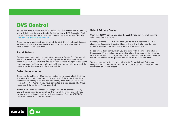## <span id="page-4-0"></span>DVS Control

To use the Allen & Heath XONE:DB4 mixer with DVS control and Serato DJ, you will first need to own a Serato DJ license and a DVS Expansion Pack license (these two products have been bundled together as the **Club Kit**). [Click here to purchase the club kit](http://store.serato.com/us/serato-dj-club-kit).

Once you have purchased and activated the Club Kit (or individual licenses separately) follow the steps below to get DVS control working with your Allen & Heath XONE:DB4 mixer.

#### **Install Drivers**

Connect your mixer and open the latest version of Serato DJ. You should see an '**INSTALL DRIVER'** dialogue box appear in the right hand sidepanel. Click **'INSTALL DRIVER'** and follow the installer prompts. If you don't have the supported hardware with you right now you can still download the driver from the hardware manufacturers website.

#### **Select Input source**

Once your turntables or CDJs are connected to the mixer, check that you are using the correct Input setting on the back of the mixer. If you have connected an analogue source (like turntables), make sure you have the input set to PH (Phono), if you have connected a digital source (like CDJs) make sure it is set to LN (Line) accordingly.

**NOTE:** If you want to connect an analogue source to channels 1 or 4, you will notice there is no switch on the rear of the mixer and will need to enable the hardware preamp for those channels. See the XONE:DB4 hardware manual for more information.

#### **Select Primary Decks**

Open the **SETUP** screen and click the **AUDIO** tab, here you will need to select your Primary Decks.

Choosing Channel 1 and 2, will allow you to have a traditional 1-2-3-4 channel configuration. Choosing Channel 2 and 3 will allow you to have a 3-1-2-4 configuration (from left to right across the mixer).

Select which deck configuration you are using with the mixer and change if necessary. If you notice you are getting signal from your control tone but on the wrong deck, you might need to double-check your Primary Decks in the **SETUP** screen or the physical inputs on the back of the mixer.

You are now set up to use your mixer with Serato DJ and DVS control using the REL or ABS control modes. See the Serato DJ manual for more information on Control Modes.